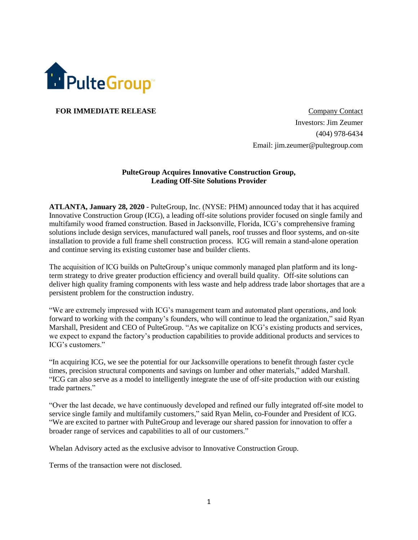

**FOR IMMEDIATE RELEASE COMPANY** Contact **COMPANY** Contact Investors: Jim Zeumer (404) 978-6434 Email: jim.zeumer@pultegroup.com

## **PulteGroup Acquires Innovative Construction Group, Leading Off-Site Solutions Provider**

**ATLANTA, January 28, 2020** - PulteGroup, Inc. (NYSE: PHM) announced today that it has acquired Innovative Construction Group (ICG), a leading off-site solutions provider focused on single family and multifamily wood framed construction. Based in Jacksonville, Florida, ICG's comprehensive framing solutions include design services, manufactured wall panels, roof trusses and floor systems, and on-site installation to provide a full frame shell construction process. ICG will remain a stand-alone operation and continue serving its existing customer base and builder clients.

The acquisition of ICG builds on PulteGroup's unique commonly managed plan platform and its longterm strategy to drive greater production efficiency and overall build quality. Off-site solutions can deliver high quality framing components with less waste and help address trade labor shortages that are a persistent problem for the construction industry.

"We are extremely impressed with ICG's management team and automated plant operations, and look forward to working with the company's founders, who will continue to lead the organization," said Ryan Marshall, President and CEO of PulteGroup. "As we capitalize on ICG's existing products and services, we expect to expand the factory's production capabilities to provide additional products and services to ICG's customers."

"In acquiring ICG, we see the potential for our Jacksonville operations to benefit through faster cycle times, precision structural components and savings on lumber and other materials," added Marshall. "ICG can also serve as a model to intelligently integrate the use of off-site production with our existing trade partners."

"Over the last decade, we have continuously developed and refined our fully integrated off-site model to service single family and multifamily customers," said Ryan Melin, co-Founder and President of ICG. "We are excited to partner with PulteGroup and leverage our shared passion for innovation to offer a broader range of services and capabilities to all of our customers."

Whelan Advisory acted as the exclusive advisor to Innovative Construction Group.

Terms of the transaction were not disclosed.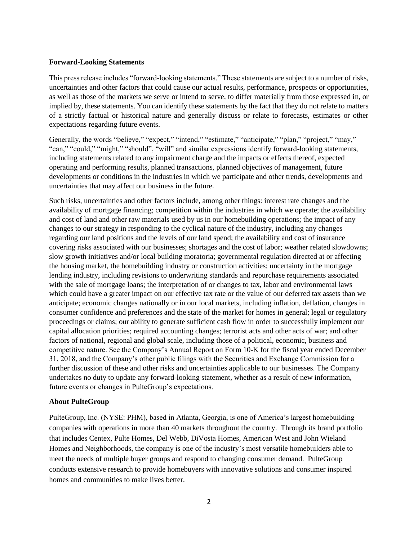## **Forward-Looking Statements**

This press release includes "forward-looking statements." These statements are subject to a number of risks, uncertainties and other factors that could cause our actual results, performance, prospects or opportunities, as well as those of the markets we serve or intend to serve, to differ materially from those expressed in, or implied by, these statements. You can identify these statements by the fact that they do not relate to matters of a strictly factual or historical nature and generally discuss or relate to forecasts, estimates or other expectations regarding future events.

Generally, the words "believe," "expect," "intend," "estimate," "anticipate," "plan," "project," "may," "can," "could," "might," "should", "will" and similar expressions identify forward-looking statements, including statements related to any impairment charge and the impacts or effects thereof, expected operating and performing results, planned transactions, planned objectives of management, future developments or conditions in the industries in which we participate and other trends, developments and uncertainties that may affect our business in the future.

Such risks, uncertainties and other factors include, among other things: interest rate changes and the availability of mortgage financing; competition within the industries in which we operate; the availability and cost of land and other raw materials used by us in our homebuilding operations; the impact of any changes to our strategy in responding to the cyclical nature of the industry, including any changes regarding our land positions and the levels of our land spend; the availability and cost of insurance covering risks associated with our businesses; shortages and the cost of labor; weather related slowdowns; slow growth initiatives and/or local building moratoria; governmental regulation directed at or affecting the housing market, the homebuilding industry or construction activities; uncertainty in the mortgage lending industry, including revisions to underwriting standards and repurchase requirements associated with the sale of mortgage loans; the interpretation of or changes to tax, labor and environmental laws which could have a greater impact on our effective tax rate or the value of our deferred tax assets than we anticipate; economic changes nationally or in our local markets, including inflation, deflation, changes in consumer confidence and preferences and the state of the market for homes in general; legal or regulatory proceedings or claims; our ability to generate sufficient cash flow in order to successfully implement our capital allocation priorities; required accounting changes; terrorist acts and other acts of war; and other factors of national, regional and global scale, including those of a political, economic, business and competitive nature. See the Company's Annual Report on Form 10-K for the fiscal year ended December 31, 2018, and the Company's other public filings with the Securities and Exchange Commission for a further discussion of these and other risks and uncertainties applicable to our businesses. The Company undertakes no duty to update any forward-looking statement, whether as a result of new information, future events or changes in PulteGroup's expectations.

## **About PulteGroup**

PulteGroup, Inc. (NYSE: PHM), based in Atlanta, Georgia, is one of America's largest homebuilding companies with operations in more than 40 markets throughout the country. Through its brand portfolio that includes Centex, Pulte Homes, Del Webb, DiVosta Homes, American West and John Wieland Homes and Neighborhoods, the company is one of the industry's most versatile homebuilders able to meet the needs of multiple buyer groups and respond to changing consumer demand. PulteGroup conducts extensive research to provide homebuyers with innovative solutions and consumer inspired homes and communities to make lives better.